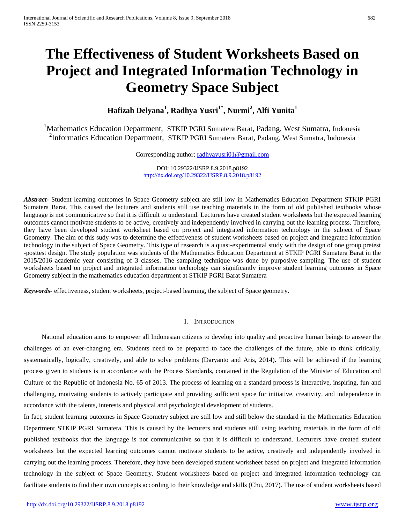# **The Effectiveness of Student Worksheets Based on Project and Integrated Information Technology in Geometry Space Subject**

**Hafizah Delyana<sup>1</sup> , Radhya Yusri1\* , Nurmi<sup>2</sup> , Alfi Yunita1**

<sup>1</sup>Mathematics Education Department, STKIP PGRI Sumatera Barat, Padang, West Sumatra, Indonesia <sup>2</sup>Informatics Education Department, STKIP PGRI Sumatera Barat, Padang, West Sumatra, Indonesia

Corresponding author: [radhyayusri01@gmail.com](mailto:radhyayusri01@gmail.com)

DOI: 10.29322/IJSRP.8.9.2018.p8192 <http://dx.doi.org/10.29322/IJSRP.8.9.2018.p8192>

*Abstract***-** Student learning outcomes in Space Geometry subject are still low in Mathematics Education Department STKIP PGRI Sumatera Barat. This caused the lecturers and students still use teaching materials in the form of old published textbooks whose language is not communicative so that it is difficult to understand. Lecturers have created student worksheets but the expected learning outcomes cannot motivate students to be active, creatively and independently involved in carrying out the learning process. Therefore, they have been developed student worksheet based on project and integrated information technology in the subject of Space Geometry. The aim of this sudy was to determine the effectiveness of student worksheets based on project and integrated information technology in the subject of Space Geometry. This type of research is a quasi-experimental study with the design of one group pretest -posttest design. The study population was students of the Mathematics Education Department at STKIP PGRI Sumatera Barat in the 2015/2016 academic year consisting of 3 classes. The sampling technique was done by purposive sampling. The use of student worksheets based on project and integrated information technology can significantly improve student learning outcomes in Space Geometry subject in the mathematics education department at STKIP PGRI Barat Sumatera

*Keywords*- effectiveness, student worksheets, project-based learning, the subject of Space geometry.

## I. INTRODUCTION

National education aims to empower all Indonesian citizens to develop into quality and proactive human beings to answer the challenges of an ever-changing era. Students need to be prepared to face the challenges of the future, able to think critically, systematically, logically, creatively, and able to solve problems (Daryanto and Aris, 2014). This will be achieved if the learning process given to students is in accordance with the Process Standards, contained in the Regulation of the Minister of Education and Culture of the Republic of Indonesia No. 65 of 2013. The process of learning on a standard process is interactive, inspiring, fun and challenging, motivating students to actively participate and providing sufficient space for initiative, creativity, and independence in accordance with the talents, interests and physical and psychological development of students.

In fact, student learning outcomes in Space Geometry subject are still low and still below the standard in the Mathematics Education Department STKIP PGRI Sumatera. This is caused by the lecturers and students still using teaching materials in the form of old published textbooks that the language is not communicative so that it is difficult to understand. Lecturers have created student worksheets but the expected learning outcomes cannot motivate students to be active, creatively and independently involved in carrying out the learning process. Therefore, they have been developed student worksheet based on project and integrated information technology in the subject of Space Geometry. Student worksheets based on project and integrated information technology can facilitate students to find their own concepts according to their knowledge and skills (Chu, 2017). The use of student worksheets based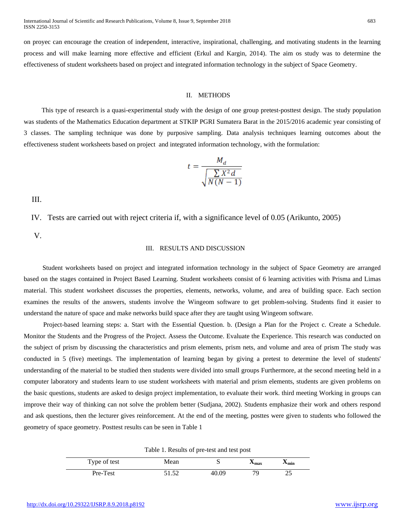on proyec can encourage the creation of independent, interactive, inspirational, challenging, and motivating students in the learning process and will make learning more effective and efficient (Erkul and Kargin, 2014). The aim os study was to determine the effectiveness of student worksheets based on project and integrated information technology in the subject of Space Geometry.

### II. METHODS

This type of research is a quasi-experimental study with the design of one group pretest-posttest design. The study population was students of the Mathematics Education department at STKIP PGRI Sumatera Barat in the 2015/2016 academic year consisting of 3 classes. The sampling technique was done by purposive sampling. Data analysis techniques learning outcomes about the effectiveness student worksheets based on project and integrated information technology, with the formulation:

$$
t = \frac{M_d}{\sqrt{\frac{\sum X^2 d}{N(N-1)}}}
$$

III.

IV. Tests are carried out with reject criteria if, with a significance level of 0.05 (Arikunto, 2005)

V.

## III. RESULTS AND DISCUSSION

Student worksheets based on project and integrated information technology in the subject of Space Geometry are arranged based on the stages contained in Project Based Learning. Student worksheets consist of 6 learning activities with Prisma and Limas material. This student worksheet discusses the properties, elements, networks, volume, and area of building space. Each section examines the results of the answers, students involve the Wingeom software to get problem-solving. Students find it easier to understand the nature of space and make networks build space after they are taught using Wingeom software.

Project-based learning steps: a. Start with the Essential Question. b. (Design a Plan for the Project c. Create a Schedule. Monitor the Students and the Progress of the Project. Assess the Outcome. Evaluate the Experience. This research was conducted on the subject of prism by discussing the characteristics and prism elements, prism nets, and volume and area of prism The study was conducted in 5 (five) meetings. The implementation of learning began by giving a pretest to determine the level of students' understanding of the material to be studied then students were divided into small groups Furthermore, at the second meeting held in a computer laboratory and students learn to use student worksheets with material and prism elements, students are given problems on the basic questions, students are asked to design project implementation, to evaluate their work. third meeting Working in groups can improve their way of thinking can not solve the problem better (Sudjana, 2002). Students emphasize their work and others respond and ask questions, then the lecturer gives reinforcement. At the end of the meeting, posttes were given to students who followed the geometry of space geometry. Posttest results can be seen in Table 1

Table 1. Results of pre-test and test post

| Type of test | Mean  |       | ⊿max | ∧min |  |  |
|--------------|-------|-------|------|------|--|--|
| Pre-Test     | 51.52 | 40.09 |      | 25   |  |  |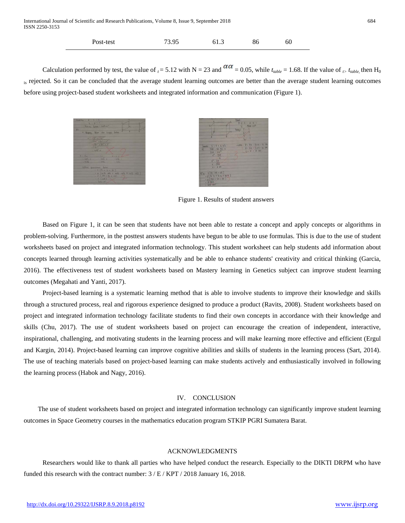|  | Post-test | 73.95 | 61.3 | 86 | 60 |
|--|-----------|-------|------|----|----|
|--|-----------|-------|------|----|----|

Calculation performed by test, the value of  $t = 5.12$  with N = 23 and  $\alpha a = 0.05$ , while  $t_{table} = 1.68$ . If the value of  $t_{table}$  then H<sub>0</sub> is rejected. So it can be concluded that the average student learning outcomes are better than the average student learning outcomes before using project-based student worksheets and integrated information and communication (Figure 1).





Figure 1. Results of student answers

Based on Figure 1, it can be seen that students have not been able to restate a concept and apply concepts or algorithms in problem-solving. Furthermore, in the posttest answers students have begun to be able to use formulas. This is due to the use of student worksheets based on project and integrated information technology. This student worksheet can help students add information about concepts learned through learning activities systematically and be able to enhance students' creativity and critical thinking (Garcia, 2016). The effectiveness test of student worksheets based on Mastery learning in Genetics subject can improve student learning outcomes (Megahati and Yanti, 2017).

Project-based learning is a systematic learning method that is able to involve students to improve their knowledge and skills through a structured process, real and rigorous experience designed to produce a product (Ravits, 2008). Student worksheets based on project and integrated information technology facilitate students to find their own concepts in accordance with their knowledge and skills (Chu, 2017). The use of student worksheets based on project can encourage the creation of independent, interactive, inspirational, challenging, and motivating students in the learning process and will make learning more effective and efficient (Ergul and Kargin, 2014). Project-based learning can improve cognitive abilities and skills of students in the learning process (Sart, 2014). The use of teaching materials based on project-based learning can make students actively and enthusiastically involved in following the learning process (Habok and Nagy, 2016).

#### IV. CONCLUSION

The use of student worksheets based on project and integrated information technology can significantly improve student learning outcomes in Space Geometry courses in the mathematics education program STKIP PGRI Sumatera Barat.

#### ACKNOWLEDGMENTS

Researchers would like to thank all parties who have helped conduct the research. Especially to the DIKTI DRPM who have funded this research with the contract number: 3 / E / KPT / 2018 January 16, 2018.